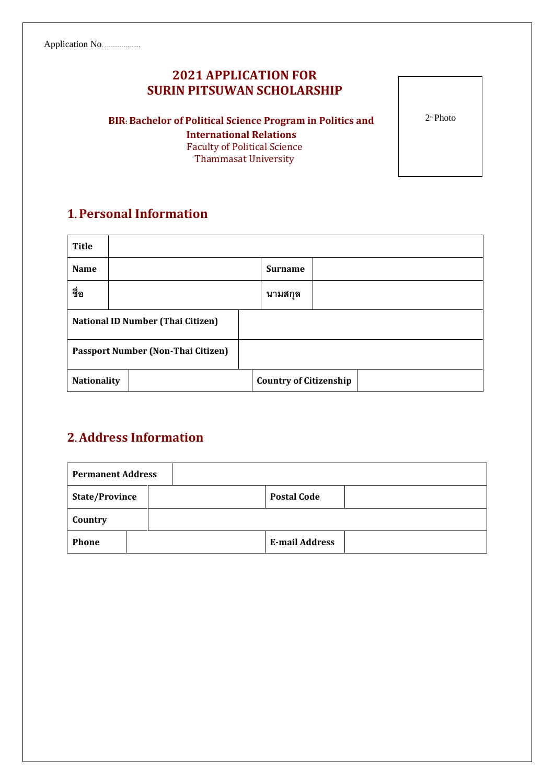### **2021 APPLICATION FOR SURIN PITSUWAN SCHOLARSHIP**

**BIR: Bachelor of Political Science Program in Politics and International Relations** Faculty of Political Science Thammasat University

**1. Personal Information**

| Title              |                                           |                               |
|--------------------|-------------------------------------------|-------------------------------|
| <b>Name</b>        |                                           | <b>Surname</b>                |
| ชื่อ               |                                           | นามสกล                        |
|                    | <b>National ID Number (Thai Citizen)</b>  |                               |
|                    | <b>Passport Number (Non-Thai Citizen)</b> |                               |
| <b>Nationality</b> |                                           | <b>Country of Citizenship</b> |

## **2.Address Information**

| <b>Permanent Address</b> |  |                       |  |
|--------------------------|--|-----------------------|--|
| <b>State/Province</b>    |  | <b>Postal Code</b>    |  |
| Country                  |  |                       |  |
| <b>Phone</b>             |  | <b>E-mail Address</b> |  |

2" Photo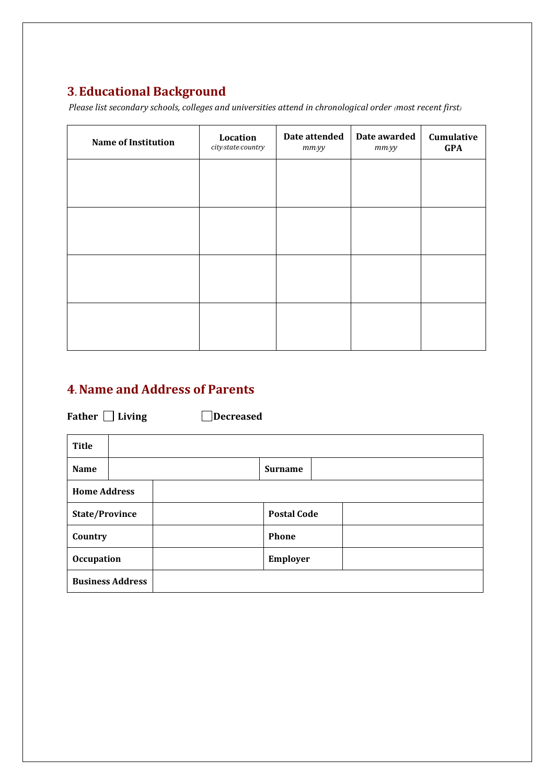# **3. Educational Background**

*Please list secondary schools, colleges and universities attend in chronological order (most recent first)*

| <b>Name of Institution</b> | Location<br>city/state/country | Date attended<br>$mm$ <i>yy</i> | Date awarded<br>$mm$ <i>yy</i> | Cumulative<br><b>GPA</b> |
|----------------------------|--------------------------------|---------------------------------|--------------------------------|--------------------------|
|                            |                                |                                 |                                |                          |
|                            |                                |                                 |                                |                          |
|                            |                                |                                 |                                |                          |
|                            |                                |                                 |                                |                          |
|                            |                                |                                 |                                |                          |

## **4.Name and Address of Parents**

Father  $\Box$  Living  $\Box$  Decreased

| <b>Title</b>          |                         |                 |                    |  |  |
|-----------------------|-------------------------|-----------------|--------------------|--|--|
| <b>Name</b>           |                         |                 | <b>Surname</b>     |  |  |
| <b>Home Address</b>   |                         |                 |                    |  |  |
| <b>State/Province</b> |                         |                 | <b>Postal Code</b> |  |  |
| Country               |                         | Phone           |                    |  |  |
| <b>Occupation</b>     |                         | <b>Employer</b> |                    |  |  |
|                       | <b>Business Address</b> |                 |                    |  |  |